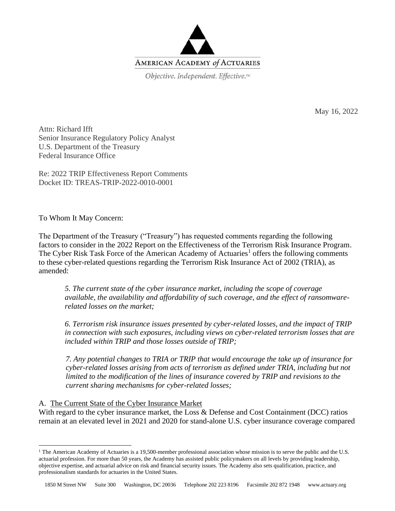

May 16, 2022

Attn: Richard Ifft Senior Insurance Regulatory Policy Analyst U.S. Department of the Treasury Federal Insurance Office

Re: 2022 TRIP Effectiveness Report Comments Docket ID: TREAS-TRIP-2022-0010-0001

To Whom It May Concern:

The Department of the Treasury ("Treasury") has requested comments regarding the following factors to consider in the 2022 Report on the Effectiveness of the Terrorism Risk Insurance Program. The Cyber Risk Task Force of the American Academy of Actuaries<sup>1</sup> offers the following comments to these cyber-related questions regarding the Terrorism Risk Insurance Act of 2002 (TRIA), as amended:

*5. The current state of the cyber insurance market, including the scope of coverage available, the availability and affordability of such coverage, and the effect of ransomwarerelated losses on the market;*

*6. Terrorism risk insurance issues presented by cyber-related losses, and the impact of TRIP in connection with such exposures, including views on cyber-related terrorism losses that are included within TRIP and those losses outside of TRIP;*

*7. Any potential changes to TRIA or TRIP that would encourage the take up of insurance for*  cyber-related losses arising from acts of terrorism as defined under TRIA, including but not *limited to the modification of the lines of insurance covered by TRIP and revisions to the current sharing mechanisms for cyber-related losses;*

#### A. The Current State of the Cyber Insurance Market

With regard to the cyber insurance market, the Loss & Defense and Cost Containment (DCC) ratios remain at an elevated level in 2021 and 2020 for stand-alone U.S. cyber insurance coverage compared

<sup>&</sup>lt;sup>1</sup> The American Academy of Actuaries is a 19,500-member professional association whose mission is to serve the public and the U.S. actuarial profession. For more than 50 years, the Academy has assisted public policymakers on all levels by providing leadership, objective expertise, and actuarial advice on risk and financial security issues. The Academy also sets qualification, practice, and professionalism standards for actuaries in the United States.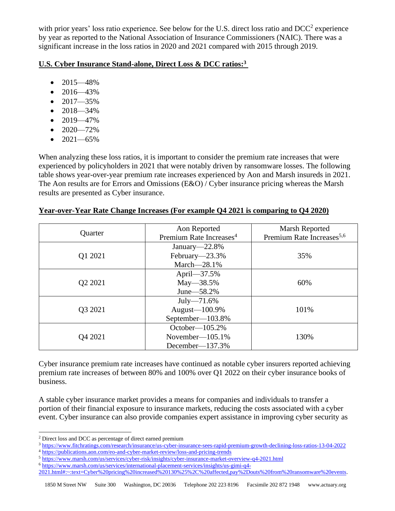with prior years' loss ratio experience. See below for the U.S. direct loss ratio and DCC<sup>2</sup> experience by year as reported to the National Association of Insurance Commissioners (NAIC). There was a significant increase in the loss ratios in 2020 and 2021 compared with 2015 through 2019.

# **U.S. Cyber Insurance Stand-alone, Direct Loss & DCC ratios: 3**

- 2015—48%
- 2016—43%
- $2017 35\%$
- $2018 34\%$
- $2019 47\%$
- $\bullet$  2020—72%
- $2021 65\%$

When analyzing these loss ratios, it is important to consider the premium rate increases that were experienced by policyholders in 2021 that were notably driven by ransomware losses. The following table shows year-over-year premium rate increases experienced by Aon and Marsh insureds in 2021. The Aon results are for Errors and Omissions (E&O) / Cyber insurance pricing whereas the Marsh results are presented as Cyber insurance.

| Quarter                         | Aon Reported<br>Premium Rate Increases <sup>4</sup>            | Marsh Reported<br>Premium Rate Increases <sup>5,6</sup> |
|---------------------------------|----------------------------------------------------------------|---------------------------------------------------------|
| Q1 2021                         | January-22.8%<br>February-23.3%<br>March $-28.1%$              | 35%                                                     |
| Q <sub>2</sub> 20 <sub>21</sub> | April—37.5%<br>$May - 38.5\%$<br>June - 58.2%                  | 60%                                                     |
| Q3 2021                         | $July-71.6%$<br>August-100.9%<br>September-103.8%              | 101%                                                    |
| Q4 2021                         | October— $105.2%$<br>November— $105.1\%$<br>December— $137.3%$ | 130%                                                    |

### **Year-over-Year Rate Change Increases (For example Q4 2021 is comparing to Q4 2020)**

Cyber insurance premium rate increases have continued as notable cyber insurers reported achieving premium rate increases of between 80% and 100% over Q1 2022 on their cyber insurance books of business.

A stable cyber insurance market provides a means for companies and individuals to transfer a portion of their financial exposure to insurance markets, reducing the costs associated with a cyber event. Cyber insurance can also provide companies expert assistance in improving cyber security as

- <sup>5</sup> <https://www.marsh.com/us/services/cyber-risk/insights/cyber-insurance-market-overview-q4-2021.html>
- <sup>6</sup> [https://www.marsh.com/us/services/international-placement-services/insights/us-gimi-q4-](https://www.marsh.com/us/services/international-placement-services/insights/us-gimi-q4-2021.html#:~:text=Cyber%20pricing%20increased%20130%25%2C%20affected,pay%2Douts%20from%20ransomware%20events)
- [2021.html#:~:text=Cyber%20pricing%20increased%20130%25%2C%20affected,pay%2Douts%20from%20ransomware%20events.](https://www.marsh.com/us/services/international-placement-services/insights/us-gimi-q4-2021.html#:~:text=Cyber%20pricing%20increased%20130%25%2C%20affected,pay%2Douts%20from%20ransomware%20events)

<sup>2</sup> Direct loss and DCC as percentage of direct earned premium

<sup>3</sup> <https://www.fitchratings.com/research/insurance/us-cyber-insurance-sees-rapid-premium-growth-declining-loss-ratios-13-04-2022> <sup>4</sup> <https://publications.aon.com/eo-and-cyber-market-review/loss-and-pricing-trends>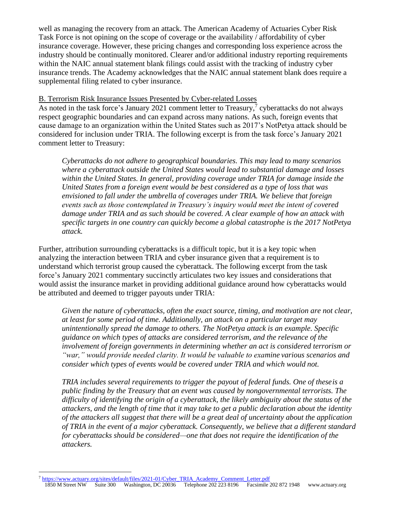well as managing the recovery from an attack. The American Academy of Actuaries Cyber Risk Task Force is not opining on the scope of coverage or the availability / affordability of cyber insurance coverage. However, these pricing changes and corresponding loss experience across the industry should be continually monitored. Clearer and/or additional industry reporting requirements within the NAIC annual statement blank filings could assist with the tracking of industry cyber insurance trends. The Academy acknowledges that the NAIC annual statement blank does require a supplemental filing related to cyber insurance.

# B. Terrorism Risk Insurance Issues Presented by Cyber-related Losses

As noted in the task force's January 2021 comment letter to Treasury,<sup>7</sup> cyberattacks do not always respect geographic boundaries and can expand across many nations. As such, foreign events that cause damage to an organization within the United States such as 2017's NotPetya attack should be considered for inclusion under TRIA. The following excerpt is from the task force's January 2021 comment letter to Treasury:

*Cyberattacks do not adhere to geographical boundaries. This may lead to many scenarios where a cyberattack outside the United States would lead to substantial damage and losses within the United States. In general, providing coverage under TRIA for damage inside the United States from a foreign event would be best considered as a type of loss that was envisioned to fall under the umbrella of coverages under TRIA. We believe that foreign events such as those contemplated in Treasury's inquiry would meet the intent of covered damage under TRIA and as such should be covered. A clear example of how an attack with specific targets in one country can quickly become a global catastrophe is the 2017 NotPetya attack.*

Further, attribution surrounding cyberattacks is a difficult topic, but it is a key topic when analyzing the interaction between TRIA and cyber insurance given that a requirement is to understand which terrorist group caused the cyberattack. The following excerpt from the task force's January 2021 commentary succinctly articulates two key issues and considerations that would assist the insurance market in providing additional guidance around how cyberattacks would be attributed and deemed to trigger payouts under TRIA:

*Given the nature of cyberattacks, often the exact source, timing, and motivation are not clear, at least for some period of time. Additionally, an attack on a particular target may unintentionally spread the damage to others. The NotPetya attack is an example. Specific guidance on which types of attacks are considered terrorism, and the relevance of the involvement of foreign governments in determining whether an act is considered terrorism or "war," would provide needed clarity. It would be valuable to examine various scenarios and consider which types of events would be covered under TRIA and which would not.*

*TRIA includes several requirements to trigger the payout of federal funds. One of theseis a public finding by the Treasury that an event was caused by nongovernmental terrorists. The difficulty of identifying the origin of a cyberattack, the likely ambiguity about the status of the attackers, and the length of time that it may take to get a public declaration about the identity of the attackers all suggest that there will be a great deal of uncertainty about the application of TRIA in the event of a major cyberattack. Consequently, we believe that a different standard for cyberattacks should be considered—one that does not require the identification of the attackers.*

1850 M Street NW Suite 300 Washington, DC 20036 Telephone 202 223 8196 Facsimile 202 872 1948 [www.actuary.org](http://www.actuary.org/) <sup>7</sup> [https://www.actuary.org/sites/default/files/2021-01/Cyber\\_TRIA\\_Academy\\_Comment\\_Letter.pdf](https://www.actuary.org/sites/default/files/2021-01/Cyber_TRIA_Academy_Comment_Letter.pdf)